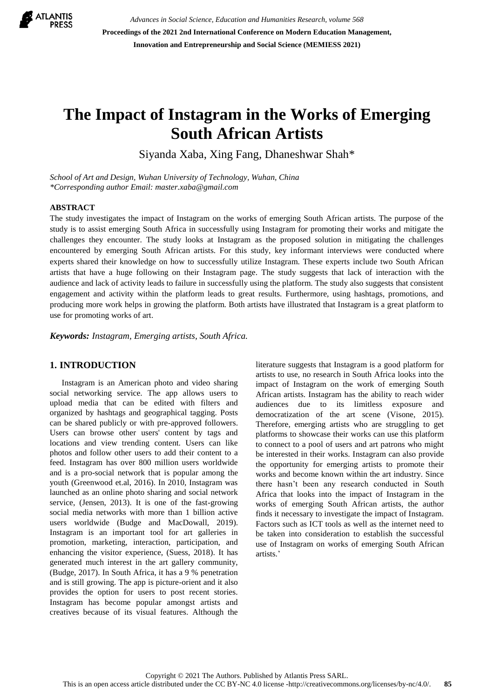

*Advances in Social Science, Education and Humanities Research, volume 568* **Proceedings of the 2021 2nd International Conference on Modern Education Management, Innovation and Entrepreneurship and Social Science (MEMIESS 2021)**

# **The Impact of Instagram in the Works of Emerging South African Artists**

Siyanda Xaba, Xing Fang, Dhaneshwar Shah\*

*School of Art and Design, Wuhan University of Technology, Wuhan, China \*Corresponding author Email: [master.xaba@gmail.com](mailto:master.xaba@gmail.com)*

#### **ABSTRACT**

The study investigates the impact of Instagram on the works of emerging South African artists. The purpose of the study is to assist emerging South Africa in successfully using Instagram for promoting their works and mitigate the challenges they encounter. The study looks at Instagram as the proposed solution in mitigating the challenges encountered by emerging South African artists. For this study, key informant interviews were conducted where experts shared their knowledge on how to successfully utilize Instagram. These experts include two South African artists that have a huge following on their Instagram page. The study suggests that lack of interaction with the audience and lack of activity leads to failure in successfully using the platform. The study also suggests that consistent engagement and activity within the platform leads to great results. Furthermore, using hashtags, promotions, and producing more work helps in growing the platform. Both artists have illustrated that Instagram is a great platform to use for promoting works of art.

*Keywords: Instagram, Emerging artists, South Africa.*

## **1. INTRODUCTION**

Instagram is an American photo and video sharing social networking service. The app allows users to upload media that can be edited with filters and organized by hashtags and geographical tagging. Posts can be shared publicly or with pre-approved followers. Users can browse other users' content by tags and locations and view trending content. Users can like photos and follow other users to add their content to a feed. Instagram has over 800 million users worldwide and is a pro-social network that is popular among the youth (Greenwood et.al, 2016). In 2010, Instagram was launched as an online photo sharing and social network service, (Jensen, 2013). It is one of the fast-growing social media networks with more than 1 billion active users worldwide (Budge and MacDowall, 2019). Instagram is an important tool for art galleries in promotion, marketing, interaction, participation, and enhancing the visitor experience, (Suess, 2018). It has generated much interest in the art gallery community, (Budge, 2017). In South Africa, it has a 9 % penetration and is still growing. The app is picture-orient and it also provides the option for users to post recent stories. Instagram has become popular amongst artists and creatives because of its visual features. Although the literature suggests that Instagram is a good platform for artists to use, no research in South Africa looks into the impact of Instagram on the work of emerging South African artists. Instagram has the ability to reach wider audiences due to its limitless exposure and democratization of the art scene (Visone, 2015). Therefore, emerging artists who are struggling to get platforms to showcase their works can use this platform to connect to a pool of users and art patrons who might be interested in their works. Instagram can also provide the opportunity for emerging artists to promote their works and become known within the art industry. Since there hasn't been any research conducted in South Africa that looks into the impact of Instagram in the works of emerging South African artists, the author finds it necessary to investigate the impact of Instagram. Factors such as ICT tools as well as the internet need to be taken into consideration to establish the successful use of Instagram on works of emerging South African artists.'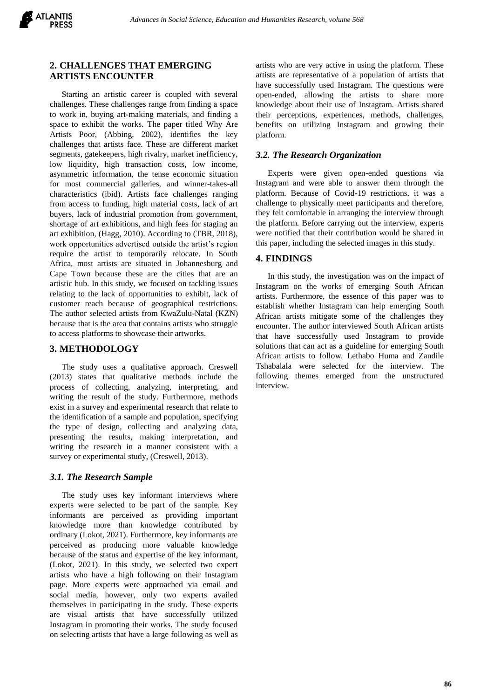

## **2. CHALLENGES THAT EMERGING ARTISTS ENCOUNTER**

Starting an artistic career is coupled with several challenges. These challenges range from finding a space to work in, buying art-making materials, and finding a space to exhibit the works. The paper titled Why Are Artists Poor, (Abbing, 2002), identifies the key challenges that artists face. These are different market segments, gatekeepers, high rivalry, market inefficiency, low liquidity, high transaction costs, low income, asymmetric information, the tense economic situation for most commercial galleries, and winner-takes-all characteristics (ibid). Artists face challenges ranging from access to funding, high material costs, lack of art buyers, lack of industrial promotion from government, shortage of art exhibitions, and high fees for staging an art exhibition, (Hagg, 2010). According to (TBR, 2018), work opportunities advertised outside the artist's region require the artist to temporarily relocate. In South Africa, most artists are situated in Johannesburg and Cape Town because these are the cities that are an artistic hub. In this study, we focused on tackling issues relating to the lack of opportunities to exhibit, lack of customer reach because of geographical restrictions. The author selected artists from KwaZulu-Natal (KZN) because that is the area that contains artists who struggle to access platforms to showcase their artworks.

## **3. METHODOLOGY**

The study uses a qualitative approach. Creswell (2013) states that qualitative methods include the process of collecting, analyzing, interpreting, and writing the result of the study. Furthermore, methods exist in a survey and experimental research that relate to the identification of a sample and population, specifying the type of design, collecting and analyzing data, presenting the results, making interpretation, and writing the research in a manner consistent with a survey or experimental study, (Creswell, 2013).

## *3.1. The Research Sample*

The study uses key informant interviews where experts were selected to be part of the sample. Key informants are perceived as providing important knowledge more than knowledge contributed by ordinary (Lokot, 2021). Furthermore, key informants are perceived as producing more valuable knowledge because of the status and expertise of the key informant, (Lokot, 2021). In this study, we selected two expert artists who have a high following on their Instagram page. More experts were approached via email and social media, however, only two experts availed themselves in participating in the study. These experts are visual artists that have successfully utilized Instagram in promoting their works. The study focused on selecting artists that have a large following as well as artists who are very active in using the platform. These artists are representative of a population of artists that have successfully used Instagram. The questions were open-ended, allowing the artists to share more knowledge about their use of Instagram. Artists shared their perceptions, experiences, methods, challenges, benefits on utilizing Instagram and growing their platform.

## *3.2. The Research Organization*

Experts were given open-ended questions via Instagram and were able to answer them through the platform. Because of Covid-19 restrictions, it was a challenge to physically meet participants and therefore, they felt comfortable in arranging the interview through the platform. Before carrying out the interview, experts were notified that their contribution would be shared in this paper, including the selected images in this study.

#### **4. FINDINGS**

In this study, the investigation was on the impact of Instagram on the works of emerging South African artists. Furthermore, the essence of this paper was to establish whether Instagram can help emerging South African artists mitigate some of the challenges they encounter. The author interviewed South African artists that have successfully used Instagram to provide solutions that can act as a guideline for emerging South African artists to follow. Lethabo Huma and Zandile Tshabalala were selected for the interview. The following themes emerged from the unstructured interview.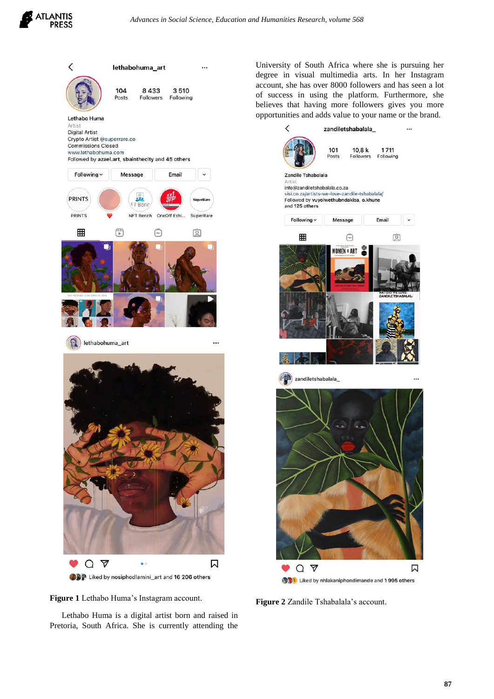



**Figure 1** Lethabo Huma's Instagram account.

Lethabo Huma is a digital artist born and raised in Pretoria, South Africa. She is currently attending the University of South Africa where she is pursuing her degree in visual multimedia arts. In her Instagram account, she has over 8000 followers and has seen a lot of success in using the platform. Furthermore, she believes that having more followers gives you more opportunities and adds value to your name or the brand.



**Figure 2** Zandile Tshabalala's account.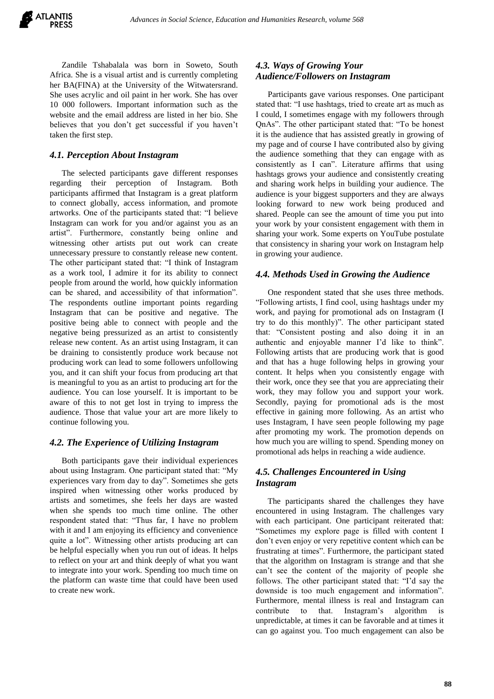Zandile Tshabalala was born in Soweto, South Africa. She is a visual artist and is currently completing her BA(FINA) at the University of the Witwatersrand. She uses acrylic and oil paint in her work. She has over 10 000 followers. Important information such as the website and the email address are listed in her bio. She believes that you don't get successful if you haven't taken the first step.

## *4.1. Perception About Instagram*

The selected participants gave different responses regarding their perception of Instagram. Both participants affirmed that Instagram is a great platform to connect globally, access information, and promote artworks. One of the participants stated that: "I believe Instagram can work for you and/or against you as an artist". Furthermore, constantly being online and witnessing other artists put out work can create unnecessary pressure to constantly release new content. The other participant stated that: "I think of Instagram as a work tool, I admire it for its ability to connect people from around the world, how quickly information can be shared, and accessibility of that information". The respondents outline important points regarding Instagram that can be positive and negative. The positive being able to connect with people and the negative being pressurized as an artist to consistently release new content. As an artist using Instagram, it can be draining to consistently produce work because not producing work can lead to some followers unfollowing you, and it can shift your focus from producing art that is meaningful to you as an artist to producing art for the audience. You can lose yourself. It is important to be aware of this to not get lost in trying to impress the audience. Those that value your art are more likely to continue following you.

## *4.2. The Experience of Utilizing Instagram*

Both participants gave their individual experiences about using Instagram. One participant stated that: "My experiences vary from day to day". Sometimes she gets inspired when witnessing other works produced by artists and sometimes, she feels her days are wasted when she spends too much time online. The other respondent stated that: "Thus far, I have no problem with it and I am enjoying its efficiency and convenience quite a lot". Witnessing other artists producing art can be helpful especially when you run out of ideas. It helps to reflect on your art and think deeply of what you want to integrate into your work. Spending too much time on the platform can waste time that could have been used to create new work.

## *4.3. Ways of Growing Your Audience/Followers on Instagram*

Participants gave various responses. One participant stated that: "I use hashtags, tried to create art as much as I could, I sometimes engage with my followers through QnAs". The other participant stated that: "To be honest it is the audience that has assisted greatly in growing of my page and of course I have contributed also by giving the audience something that they can engage with as consistently as I can". Literature affirms that using hashtags grows your audience and consistently creating and sharing work helps in building your audience. The audience is your biggest supporters and they are always looking forward to new work being produced and shared. People can see the amount of time you put into your work by your consistent engagement with them in sharing your work. Some experts on YouTube postulate that consistency in sharing your work on Instagram help in growing your audience.

#### *4.4. Methods Used in Growing the Audience*

One respondent stated that she uses three methods. "Following artists, I find cool, using hashtags under my work, and paying for promotional ads on Instagram (I try to do this monthly)". The other participant stated that: "Consistent posting and also doing it in an authentic and enjoyable manner I'd like to think". Following artists that are producing work that is good and that has a huge following helps in growing your content. It helps when you consistently engage with their work, once they see that you are appreciating their work, they may follow you and support your work. Secondly, paying for promotional ads is the most effective in gaining more following. As an artist who uses Instagram, I have seen people following my page after promoting my work. The promotion depends on how much you are willing to spend. Spending money on promotional ads helps in reaching a wide audience.

## *4.5. Challenges Encountered in Using Instagram*

The participants shared the challenges they have encountered in using Instagram. The challenges vary with each participant. One participant reiterated that: "Sometimes my explore page is filled with content I don't even enjoy or very repetitive content which can be frustrating at times". Furthermore, the participant stated that the algorithm on Instagram is strange and that she can't see the content of the majority of people she follows. The other participant stated that: "I'd say the downside is too much engagement and information". Furthermore, mental illness is real and Instagram can contribute to that. Instagram's algorithm is unpredictable, at times it can be favorable and at times it can go against you. Too much engagement can also be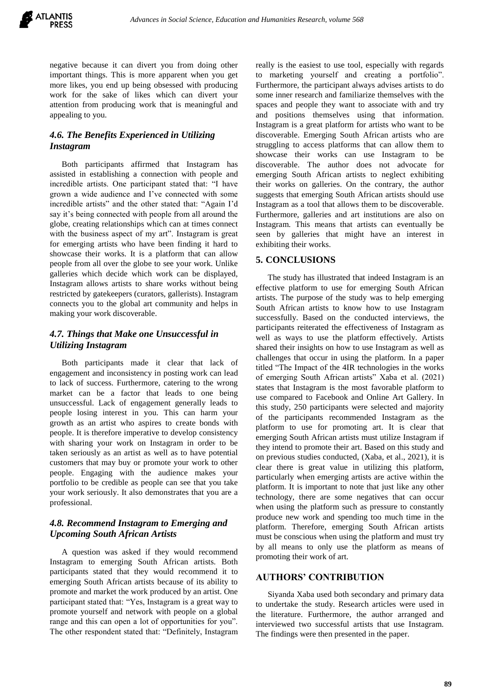

negative because it can divert you from doing other important things. This is more apparent when you get more likes, you end up being obsessed with producing work for the sake of likes which can divert your attention from producing work that is meaningful and appealing to you.

# *4.6. The Benefits Experienced in Utilizing Instagram*

Both participants affirmed that Instagram has assisted in establishing a connection with people and incredible artists. One participant stated that: "I have grown a wide audience and I've connected with some incredible artists" and the other stated that: "Again I'd say it's being connected with people from all around the globe, creating relationships which can at times connect with the business aspect of my art". Instagram is great for emerging artists who have been finding it hard to showcase their works. It is a platform that can allow people from all over the globe to see your work. Unlike galleries which decide which work can be displayed, Instagram allows artists to share works without being restricted by gatekeepers (curators, gallerists). Instagram connects you to the global art community and helps in making your work discoverable.

## *4.7. Things that Make one Unsuccessful in Utilizing Instagram*

Both participants made it clear that lack of engagement and inconsistency in posting work can lead to lack of success. Furthermore, catering to the wrong market can be a factor that leads to one being unsuccessful. Lack of engagement generally leads to people losing interest in you. This can harm your growth as an artist who aspires to create bonds with people. It is therefore imperative to develop consistency with sharing your work on Instagram in order to be taken seriously as an artist as well as to have potential customers that may buy or promote your work to other people. Engaging with the audience makes your portfolio to be credible as people can see that you take your work seriously. It also demonstrates that you are a professional.

# *4.8. Recommend Instagram to Emerging and Upcoming South African Artists*

A question was asked if they would recommend Instagram to emerging South African artists. Both participants stated that they would recommend it to emerging South African artists because of its ability to promote and market the work produced by an artist. One participant stated that: "Yes, Instagram is a great way to promote yourself and network with people on a global range and this can open a lot of opportunities for you". The other respondent stated that: "Definitely, Instagram really is the easiest to use tool, especially with regards to marketing yourself and creating a portfolio". Furthermore, the participant always advises artists to do some inner research and familiarize themselves with the spaces and people they want to associate with and try and positions themselves using that information. Instagram is a great platform for artists who want to be discoverable. Emerging South African artists who are struggling to access platforms that can allow them to showcase their works can use Instagram to be discoverable. The author does not advocate for emerging South African artists to neglect exhibiting their works on galleries. On the contrary, the author suggests that emerging South African artists should use Instagram as a tool that allows them to be discoverable. Furthermore, galleries and art institutions are also on Instagram. This means that artists can eventually be seen by galleries that might have an interest in exhibiting their works.

## **5. CONCLUSIONS**

The study has illustrated that indeed Instagram is an effective platform to use for emerging South African artists. The purpose of the study was to help emerging South African artists to know how to use Instagram successfully. Based on the conducted interviews, the participants reiterated the effectiveness of Instagram as well as ways to use the platform effectively. Artists shared their insights on how to use Instagram as well as challenges that occur in using the platform. In a paper titled "The Impact of the 4IR technologies in the works of emerging South African artists" Xaba et al. (2021) states that Instagram is the most favorable platform to use compared to Facebook and Online Art Gallery. In this study, 250 participants were selected and majority of the participants recommended Instagram as the platform to use for promoting art. It is clear that emerging South African artists must utilize Instagram if they intend to promote their art. Based on this study and on previous studies conducted, (Xaba, et al., 2021), it is clear there is great value in utilizing this platform, particularly when emerging artists are active within the platform. It is important to note that just like any other technology, there are some negatives that can occur when using the platform such as pressure to constantly produce new work and spending too much time in the platform. Therefore, emerging South African artists must be conscious when using the platform and must try by all means to only use the platform as means of promoting their work of art.

## **AUTHORS' CONTRIBUTION**

Siyanda Xaba used both secondary and primary data to undertake the study. Research articles were used in the literature. Furthermore, the author arranged and interviewed two successful artists that use Instagram. The findings were then presented in the paper.